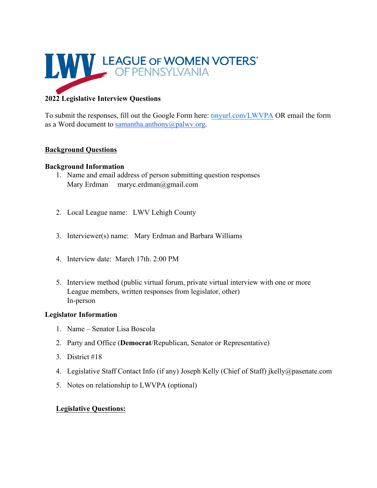

# **2022 Legislative Interview Questions**

To submit the responses, fill out the Google Form here: tinyurl.com/LWVPA OR email the form as a Word document to samantha.anthony@palwv.org.

## **Background Questions**

## **Background Information**

- 1. Name and email address of person submitting question responses Mary Erdman maryc.erdman@gmail.com
- 2. Local League name: LWV Lehigh County
- 3. Interviewer(s) name: Mary Erdman and Barbara Williams
- 4. Interview date: March 17th. 2:00 PM
- 5. Interview method (public virtual forum, private virtual interview with one or more League members, written responses from legislator, other) In-person

### **Legislator Information**

- 1. Name Senator Lisa Boscola
- 2. Party and Office (**Democrat**/Republican, Senator or Representative)
- 3. District #18
- 4. Legislative Staff Contact Info (if any) Joseph Kelly (Chief of Staff) jkelly@pasenate.com
- 5. Notes on relationship to LWVPA (optional)

## **Legislative Questions:**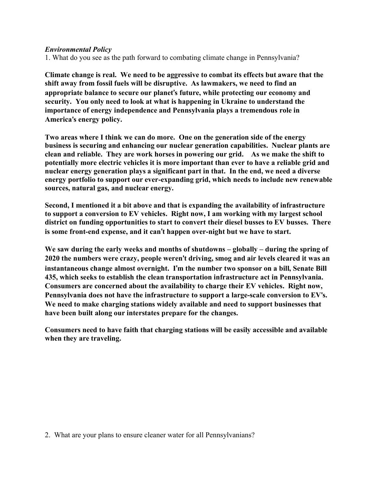### *Environmental Policy*

1. What do you see as the path forward to combating climate change in Pennsylvania?

**Climate change is real. We need to be aggressive to combat its effects but aware that the shift away from fossil fuels will be disruptive. As lawmakers, we need to find an appropriate balance to secure our planet**'**s future, while protecting our economy and security. You only need to look at what is happening in Ukraine to understand the importance of energy independence and Pennsylvania plays a tremendous role in America**'**s energy policy.**

**Two areas where I think we can do more. One on the generation side of the energy business is securing and enhancing our nuclear generation capabilities. Nuclear plants are clean and reliable. They are work horses in powering our grid. As we make the shift to potentially more electric vehicles it is more important than ever to have a reliable grid and nuclear energy generation plays a significant part in that. In the end, we need a diverse energy portfolio to support our ever-expanding grid, which needs to include new renewable sources, natural gas, and nuclear energy.** 

**Second, I mentioned it a bit above and that is expanding the availability of infrastructure to support a conversion to EV vehicles. Right now, I am working with my largest school district on funding opportunities to start to convert their diesel busses to EV busses. There is some front-end expense, and it can**'**t happen over-night but we have to start.**

**We saw during the early weeks and months of shutdowns – globally – during the spring of 2020 the numbers were crazy, people weren**'**t driving, smog and air levels cleared it was an instantaneous change almost overnight. I**'**m the number two sponsor on a bill, Senate Bill 435, which seeks to establish the clean transportation infrastructure act in Pennsylvania. Consumers are concerned about the availability to charge their EV vehicles. Right now, Pennsylvania does not have the infrastructure to support a large-scale conversion to EV**'**s. We need to make charging stations widely available and need to support businesses that have been built along our interstates prepare for the changes.**

**Consumers need to have faith that charging stations will be easily accessible and available when they are traveling.**

2. What are your plans to ensure cleaner water for all Pennsylvanians?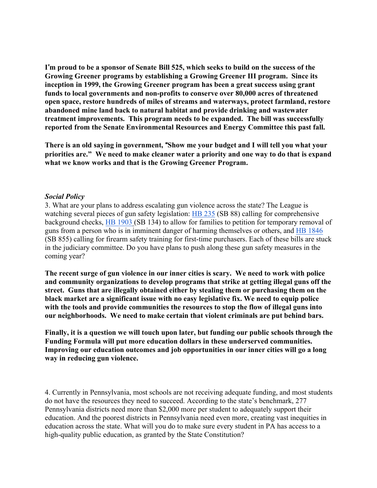I'm proud to be a sponsor of Senate Bill 525, which seeks to build on the success of the **Growing Greener programs by establishing a Growing Greener III program. Since its inception in 1999, the Growing Greener program has been a great success using grant funds to local governments and non-profits to conserve over 80,000 acres of threatened open space, restore hundreds of miles of streams and waterways, protect farmland, restore abandoned mine land back to natural habitat and provide drinking and wastewater treatment improvements. This program needs to be expanded. The bill was successfully reported from the Senate Environmental Resources and Energy Committee this past fall.**

**There is an old saying in government,** "**Show me your budget and I will tell you what your priorities are." We need to make cleaner water a priority and one way to do that is expand what we know works and that is the Growing Greener Program.**

#### *Social Policy*

3. What are your plans to address escalating gun violence across the state? The League is watching several pieces of gun safety legislation: HB 235 (SB 88) calling for comprehensive background checks, HB 1903 (SB 134) to allow for families to petition for temporary removal of guns from a person who is in imminent danger of harming themselves or others, and HB 1846 (SB 855) calling for firearm safety training for first-time purchasers. Each of these bills are stuck in the judiciary committee. Do you have plans to push along these gun safety measures in the coming year?

**The recent surge of gun violence in our inner cities is scary. We need to work with police and community organizations to develop programs that strike at getting illegal guns off the street. Guns that are illegally obtained either by stealing them or purchasing them on the black market are a significant issue with no easy legislative fix. We need to equip police with the tools and provide communities the resources to stop the flow of illegal guns into our neighborhoods. We need to make certain that violent criminals are put behind bars.**

**Finally, it is a question we will touch upon later, but funding our public schools through the Funding Formula will put more education dollars in these underserved communities. Improving our education outcomes and job opportunities in our inner cities will go a long way in reducing gun violence.** 

4. Currently in Pennsylvania, most schools are not receiving adequate funding, and most students do not have the resources they need to succeed. According to the state's benchmark, 277 Pennsylvania districts need more than \$2,000 more per student to adequately support their education. And the poorest districts in Pennsylvania need even more, creating vast inequities in education across the state. What will you do to make sure every student in PA has access to a high-quality public education, as granted by the State Constitution?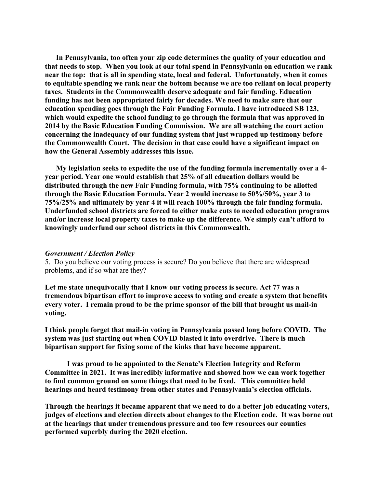**In Pennsylvania, too often your zip code determines the quality of your education and that needs to stop. When you look at our total spend in Pennsylvania on education we rank near the top: that is all in spending state, local and federal. Unfortunately, when it comes to equitable spending we rank near the bottom because we are too reliant on local property taxes. Students in the Commonwealth deserve adequate and fair funding. Education funding has not been appropriated fairly for decades. We need to make sure that our education spending goes through the Fair Funding Formula. I have introduced SB 123, which would expedite the school funding to go through the formula that was approved in 2014 by the Basic Education Funding Commission. We are all watching the court action concerning the inadequacy of our funding system that just wrapped up testimony before the Commonwealth Court. The decision in that case could have a significant impact on how the General Assembly addresses this issue.**

**My legislation seeks to expedite the use of the funding formula incrementally over a 4 year period. Year one would establish that 25% of all education dollars would be distributed through the new Fair Funding formula, with 75% continuing to be allotted through the Basic Education Formula. Year 2 would increase to 50%/50%, year 3 to 75%/25% and ultimately by year 4 it will reach 100% through the fair funding formula. Underfunded school districts are forced to either make cuts to needed education programs and/or increase local property taxes to make up the difference. We simply can't afford to knowingly underfund our school districts in this Commonwealth.**

#### *Government / Election Policy*

5. Do you believe our voting process is secure? Do you believe that there are widespread problems, and if so what are they?

**Let me state unequivocally that I know our voting process is secure. Act 77 was a tremendous bipartisan effort to improve access to voting and create a system that benefits every voter. I remain proud to be the prime sponsor of the bill that brought us mail-in voting.**

**I think people forget that mail-in voting in Pennsylvania passed long before COVID. The system was just starting out when COVID blasted it into overdrive. There is much bipartisan support for fixing some of the kinks that have become apparent.** 

**I was proud to be appointed to the Senate's Election Integrity and Reform Committee in 2021. It was incredibly informative and showed how we can work together to find common ground on some things that need to be fixed. This committee held hearings and heard testimony from other states and Pennsylvania's election officials.**

**Through the hearings it became apparent that we need to do a better job educating voters, judges of elections and election directs about changes to the Election code. It was borne out at the hearings that under tremendous pressure and too few resources our counties performed superbly during the 2020 election.**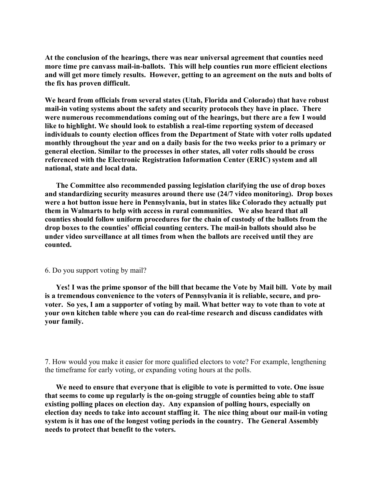**At the conclusion of the hearings, there was near universal agreement that counties need more time pre canvass mail-in-ballots. This will help counties run more efficient elections and will get more timely results. However, getting to an agreement on the nuts and bolts of the fix has proven difficult.** 

**We heard from officials from several states (Utah, Florida and Colorado) that have robust mail-in voting systems about the safety and security protocols they have in place. There were numerous recommendations coming out of the hearings, but there are a few I would like to highlight. We should look to establish a real-time reporting system of deceased individuals to county election offices from the Department of State with voter rolls updated monthly throughout the year and on a daily basis for the two weeks prior to a primary or general election. Similar to the processes in other states, all voter rolls should be cross referenced with the Electronic Registration Information Center (ERIC) system and all national, state and local data.**

**The Committee also recommended passing legislation clarifying the use of drop boxes and standardizing security measures around there use (24/7 video monitoring). Drop boxes were a hot button issue here in Pennsylvania, but in states like Colorado they actually put them in Walmarts to help with access in rural communities. We also heard that all counties should follow uniform procedures for the chain of custody of the ballots from the drop boxes to the counties' official counting centers. The mail-in ballots should also be under video surveillance at all times from when the ballots are received until they are counted.**

#### 6. Do you support voting by mail?

**Yes! I was the prime sponsor of the bill that became the Vote by Mail bill. Vote by mail is a tremendous convenience to the voters of Pennsylvania it is reliable, secure, and provoter. So yes, I am a supporter of voting by mail. What better way to vote than to vote at your own kitchen table where you can do real-time research and discuss candidates with your family.**

7. How would you make it easier for more qualified electors to vote? For example, lengthening the timeframe for early voting, or expanding voting hours at the polls.

**We need to ensure that everyone that is eligible to vote is permitted to vote. One issue that seems to come up regularly is the on-going struggle of counties being able to staff existing polling places on election day. Any expansion of polling hours, especially on election day needs to take into account staffing it. The nice thing about our mail-in voting system is it has one of the longest voting periods in the country. The General Assembly needs to protect that benefit to the voters.**